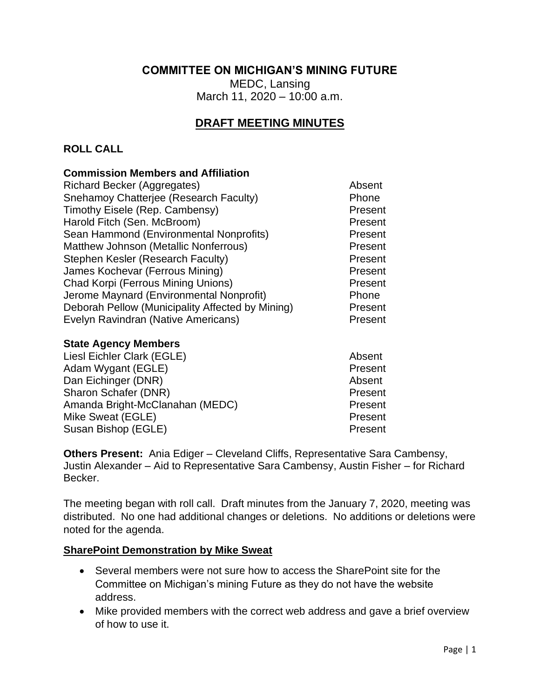### **COMMITTEE ON MICHIGAN'S MINING FUTURE**

MEDC, Lansing March 11, 2020 – 10:00 a.m.

# **DRAFT MEETING MINUTES**

#### **ROLL CALL**

#### **Commission Members and Affiliation**

| <b>Richard Becker (Aggregates)</b>               | Absent  |
|--------------------------------------------------|---------|
| Snehamoy Chatterjee (Research Faculty)           | Phone   |
| Timothy Eisele (Rep. Cambensy)                   | Present |
| Harold Fitch (Sen. McBroom)                      | Present |
| Sean Hammond (Environmental Nonprofits)          | Present |
| Matthew Johnson (Metallic Nonferrous)            | Present |
| Stephen Kesler (Research Faculty)                | Present |
| James Kochevar (Ferrous Mining)                  | Present |
| <b>Chad Korpi (Ferrous Mining Unions)</b>        | Present |
| Jerome Maynard (Environmental Nonprofit)         | Phone   |
| Deborah Pellow (Municipality Affected by Mining) | Present |
| Evelyn Ravindran (Native Americans)              | Present |

#### **State Agency Members**

| Liesl Eichler Clark (EGLE)      | Absent  |
|---------------------------------|---------|
| Adam Wygant (EGLE)              | Present |
| Dan Eichinger (DNR)             | Absent  |
| Sharon Schafer (DNR)            | Present |
| Amanda Bright-McClanahan (MEDC) | Present |
| Mike Sweat (EGLE)               | Present |
| Susan Bishop (EGLE)             | Present |

**Others Present:** Ania Ediger – Cleveland Cliffs, Representative Sara Cambensy, Justin Alexander – Aid to Representative Sara Cambensy, Austin Fisher – for Richard Becker.

The meeting began with roll call. Draft minutes from the January 7, 2020, meeting was distributed. No one had additional changes or deletions. No additions or deletions were noted for the agenda.

#### **SharePoint Demonstration by Mike Sweat**

- Several members were not sure how to access the SharePoint site for the Committee on Michigan's mining Future as they do not have the website address.
- Mike provided members with the correct web address and gave a brief overview of how to use it.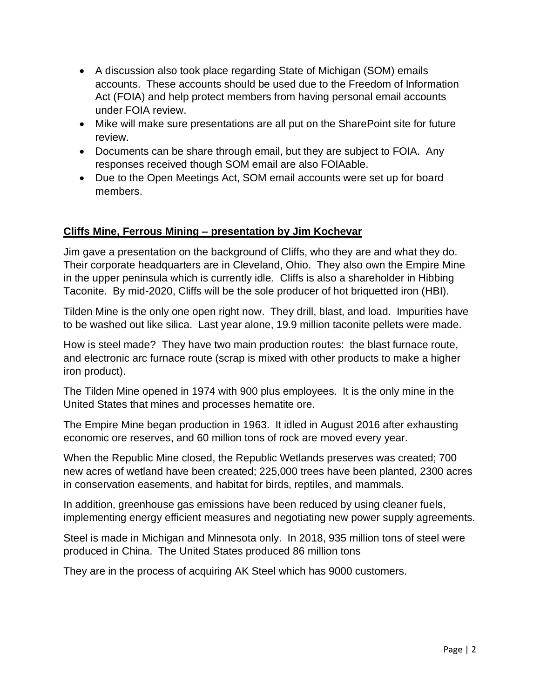- A discussion also took place regarding State of Michigan (SOM) emails accounts. These accounts should be used due to the Freedom of Information Act (FOIA) and help protect members from having personal email accounts under FOIA review.
- Mike will make sure presentations are all put on the SharePoint site for future review.
- Documents can be share through email, but they are subject to FOIA. Any responses received though SOM email are also FOIAable.
- Due to the Open Meetings Act, SOM email accounts were set up for board members.

### **Cliffs Mine, Ferrous Mining – presentation by Jim Kochevar**

Jim gave a presentation on the background of Cliffs, who they are and what they do. Their corporate headquarters are in Cleveland, Ohio. They also own the Empire Mine in the upper peninsula which is currently idle. Cliffs is also a shareholder in Hibbing Taconite. By mid-2020, Cliffs will be the sole producer of hot briquetted iron (HBI).

Tilden Mine is the only one open right now. They drill, blast, and load. Impurities have to be washed out like silica. Last year alone, 19.9 million taconite pellets were made.

How is steel made? They have two main production routes: the blast furnace route, and electronic arc furnace route (scrap is mixed with other products to make a higher iron product).

The Tilden Mine opened in 1974 with 900 plus employees. It is the only mine in the United States that mines and processes hematite ore.

The Empire Mine began production in 1963. It idled in August 2016 after exhausting economic ore reserves, and 60 million tons of rock are moved every year.

When the Republic Mine closed, the Republic Wetlands preserves was created; 700 new acres of wetland have been created; 225,000 trees have been planted, 2300 acres in conservation easements, and habitat for birds, reptiles, and mammals.

In addition, greenhouse gas emissions have been reduced by using cleaner fuels, implementing energy efficient measures and negotiating new power supply agreements.

Steel is made in Michigan and Minnesota only. In 2018, 935 million tons of steel were produced in China. The United States produced 86 million tons

They are in the process of acquiring AK Steel which has 9000 customers.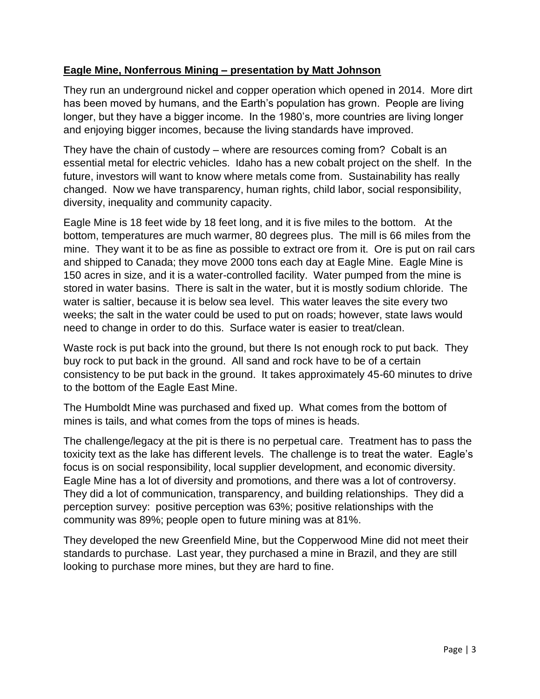### **Eagle Mine, Nonferrous Mining – presentation by Matt Johnson**

They run an underground nickel and copper operation which opened in 2014. More dirt has been moved by humans, and the Earth's population has grown. People are living longer, but they have a bigger income. In the 1980's, more countries are living longer and enjoying bigger incomes, because the living standards have improved.

They have the chain of custody – where are resources coming from? Cobalt is an essential metal for electric vehicles. Idaho has a new cobalt project on the shelf. In the future, investors will want to know where metals come from. Sustainability has really changed. Now we have transparency, human rights, child labor, social responsibility, diversity, inequality and community capacity.

Eagle Mine is 18 feet wide by 18 feet long, and it is five miles to the bottom. At the bottom, temperatures are much warmer, 80 degrees plus. The mill is 66 miles from the mine. They want it to be as fine as possible to extract ore from it. Ore is put on rail cars and shipped to Canada; they move 2000 tons each day at Eagle Mine. Eagle Mine is 150 acres in size, and it is a water-controlled facility. Water pumped from the mine is stored in water basins. There is salt in the water, but it is mostly sodium chloride. The water is saltier, because it is below sea level. This water leaves the site every two weeks; the salt in the water could be used to put on roads; however, state laws would need to change in order to do this. Surface water is easier to treat/clean.

Waste rock is put back into the ground, but there Is not enough rock to put back. They buy rock to put back in the ground. All sand and rock have to be of a certain consistency to be put back in the ground. It takes approximately 45-60 minutes to drive to the bottom of the Eagle East Mine.

The Humboldt Mine was purchased and fixed up. What comes from the bottom of mines is tails, and what comes from the tops of mines is heads.

The challenge/legacy at the pit is there is no perpetual care. Treatment has to pass the toxicity text as the lake has different levels. The challenge is to treat the water. Eagle's focus is on social responsibility, local supplier development, and economic diversity. Eagle Mine has a lot of diversity and promotions, and there was a lot of controversy. They did a lot of communication, transparency, and building relationships. They did a perception survey: positive perception was 63%; positive relationships with the community was 89%; people open to future mining was at 81%.

They developed the new Greenfield Mine, but the Copperwood Mine did not meet their standards to purchase. Last year, they purchased a mine in Brazil, and they are still looking to purchase more mines, but they are hard to fine.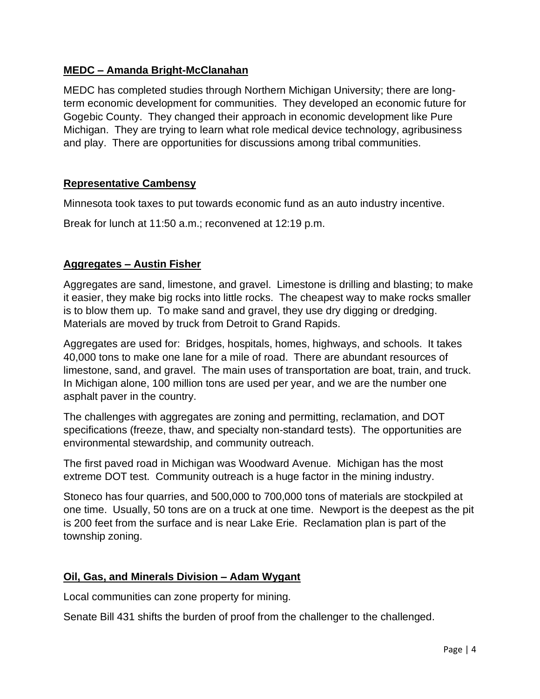### **MEDC – Amanda Bright-McClanahan**

MEDC has completed studies through Northern Michigan University; there are longterm economic development for communities. They developed an economic future for Gogebic County. They changed their approach in economic development like Pure Michigan. They are trying to learn what role medical device technology, agribusiness and play. There are opportunities for discussions among tribal communities.

#### **Representative Cambensy**

Minnesota took taxes to put towards economic fund as an auto industry incentive.

Break for lunch at 11:50 a.m.; reconvened at 12:19 p.m.

### **Aggregates – Austin Fisher**

Aggregates are sand, limestone, and gravel. Limestone is drilling and blasting; to make it easier, they make big rocks into little rocks. The cheapest way to make rocks smaller is to blow them up. To make sand and gravel, they use dry digging or dredging. Materials are moved by truck from Detroit to Grand Rapids.

Aggregates are used for: Bridges, hospitals, homes, highways, and schools. It takes 40,000 tons to make one lane for a mile of road. There are abundant resources of limestone, sand, and gravel. The main uses of transportation are boat, train, and truck. In Michigan alone, 100 million tons are used per year, and we are the number one asphalt paver in the country.

The challenges with aggregates are zoning and permitting, reclamation, and DOT specifications (freeze, thaw, and specialty non-standard tests). The opportunities are environmental stewardship, and community outreach.

The first paved road in Michigan was Woodward Avenue. Michigan has the most extreme DOT test. Community outreach is a huge factor in the mining industry.

Stoneco has four quarries, and 500,000 to 700,000 tons of materials are stockpiled at one time. Usually, 50 tons are on a truck at one time. Newport is the deepest as the pit is 200 feet from the surface and is near Lake Erie. Reclamation plan is part of the township zoning.

#### **Oil, Gas, and Minerals Division – Adam Wygant**

Local communities can zone property for mining.

Senate Bill 431 shifts the burden of proof from the challenger to the challenged.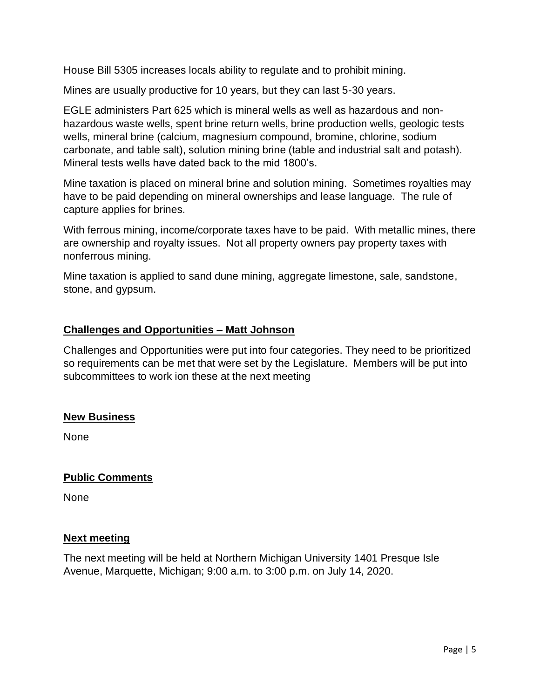House Bill 5305 increases locals ability to regulate and to prohibit mining.

Mines are usually productive for 10 years, but they can last 5-30 years.

EGLE administers Part 625 which is mineral wells as well as hazardous and nonhazardous waste wells, spent brine return wells, brine production wells, geologic tests wells, mineral brine (calcium, magnesium compound, bromine, chlorine, sodium carbonate, and table salt), solution mining brine (table and industrial salt and potash). Mineral tests wells have dated back to the mid 1800's.

Mine taxation is placed on mineral brine and solution mining. Sometimes royalties may have to be paid depending on mineral ownerships and lease language. The rule of capture applies for brines.

With ferrous mining, income/corporate taxes have to be paid. With metallic mines, there are ownership and royalty issues. Not all property owners pay property taxes with nonferrous mining.

Mine taxation is applied to sand dune mining, aggregate limestone, sale, sandstone, stone, and gypsum.

### **Challenges and Opportunities – Matt Johnson**

Challenges and Opportunities were put into four categories. They need to be prioritized so requirements can be met that were set by the Legislature. Members will be put into subcommittees to work ion these at the next meeting

#### **New Business**

None

#### **Public Comments**

None

### **Next meeting**

The next meeting will be held at Northern Michigan University 1401 Presque Isle Avenue, Marquette, Michigan; 9:00 a.m. to 3:00 p.m. on July 14, 2020.